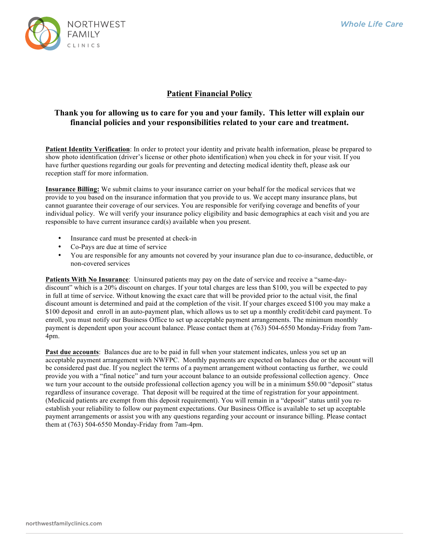

## **Patient Financial Policy**

## **Thank you for allowing us to care for you and your family. This letter will explain our financial policies and your responsibilities related to your care and treatment.**

**Patient Identity Verification**: In order to protect your identity and private health information, please be prepared to show photo identification (driver's license or other photo identification) when you check in for your visit. If you have further questions regarding our goals for preventing and detecting medical identity theft, please ask our reception staff for more information.

**Insurance Billing:** We submit claims to your insurance carrier on your behalf for the medical services that we provide to you based on the insurance information that you provide to us. We accept many insurance plans, but cannot guarantee their coverage of our services. You are responsible for verifying coverage and benefits of your individual policy. We will verify your insurance policy eligibility and basic demographics at each visit and you are responsible to have current insurance card(s) available when you present.

- Insurance card must be presented at check-in
- Co-Pays are due at time of service
- You are responsible for any amounts not covered by your insurance plan due to co-insurance, deductible, or non-covered services

**Patients With No Insurance**: Uninsured patients may pay on the date of service and receive a "same-daydiscount" which is a 20% discount on charges. If your total charges are less than \$100, you will be expected to pay in full at time of service. Without knowing the exact care that will be provided prior to the actual visit, the final discount amount is determined and paid at the completion of the visit. If your charges exceed \$100 you may make a \$100 deposit and enroll in an auto-payment plan, which allows us to set up a monthly credit/debit card payment. To enroll, you must notify our Business Office to set up acceptable payment arrangements. The minimum monthly payment is dependent upon your account balance. Please contact them at (763) 504-6550 Monday-Friday from 7am-4pm.

**Past due accounts**: Balances due are to be paid in full when your statement indicates, unless you set up an acceptable payment arrangement with NWFPC. Monthly payments are expected on balances due or the account will be considered past due. If you neglect the terms of a payment arrangement without contacting us further, we could provide you with a "final notice" and turn your account balance to an outside professional collection agency. Once we turn your account to the outside professional collection agency you will be in a minimum \$50.00 "deposit" status regardless of insurance coverage. That deposit will be required at the time of registration for your appointment. (Medicaid patients are exempt from this deposit requirement). You will remain in a "deposit" status until you reestablish your reliability to follow our payment expectations. Our Business Office is available to set up acceptable payment arrangements or assist you with any questions regarding your account or insurance billing. Please contact them at (763) 504-6550 Monday-Friday from 7am-4pm.